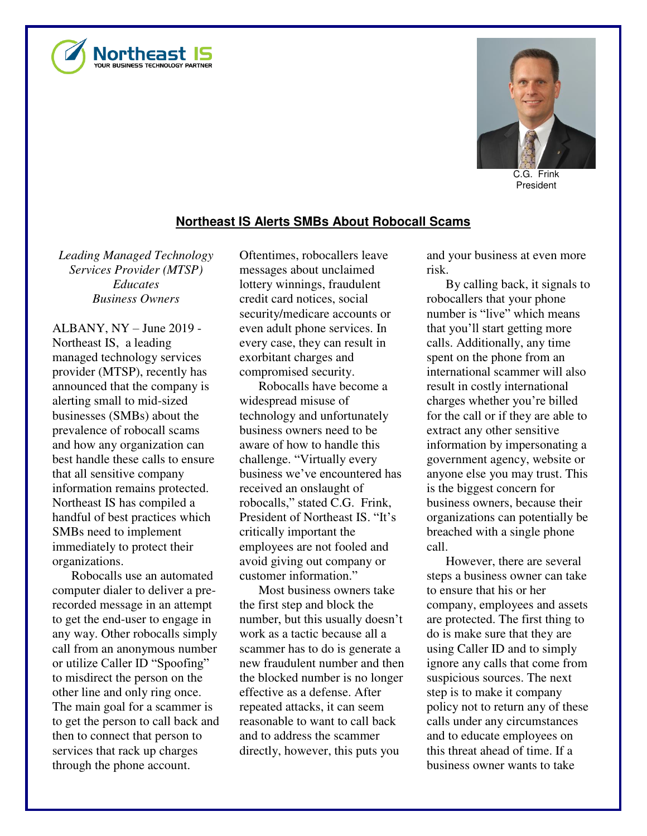



C.G. Frink President

## **Northeast IS Alerts SMBs About Robocall Scams**

*Leading Managed Technology Services Provider (MTSP) Educates Business Owners* 

ALBANY, NY – June 2019 - Northeast IS, a leading managed technology services provider (MTSP), recently has announced that the company is alerting small to mid-sized businesses (SMBs) about the prevalence of robocall scams and how any organization can best handle these calls to ensure that all sensitive company information remains protected. Northeast IS has compiled a handful of best practices which SMBs need to implement immediately to protect their organizations.

Robocalls use an automated computer dialer to deliver a prerecorded message in an attempt to get the end-user to engage in any way. Other robocalls simply call from an anonymous number or utilize Caller ID "Spoofing" to misdirect the person on the other line and only ring once. The main goal for a scammer is to get the person to call back and then to connect that person to services that rack up charges through the phone account.

Oftentimes, robocallers leave messages about unclaimed lottery winnings, fraudulent credit card notices, social security/medicare accounts or even adult phone services. In every case, they can result in exorbitant charges and compromised security.

Robocalls have become a widespread misuse of technology and unfortunately business owners need to be aware of how to handle this challenge. "Virtually every business we've encountered has received an onslaught of robocalls," stated C.G. Frink, President of Northeast IS. "It's critically important the employees are not fooled and avoid giving out company or customer information."

Most business owners take the first step and block the number, but this usually doesn't work as a tactic because all a scammer has to do is generate a new fraudulent number and then the blocked number is no longer effective as a defense. After repeated attacks, it can seem reasonable to want to call back and to address the scammer directly, however, this puts you

and your business at even more risk.

By calling back, it signals to robocallers that your phone number is "live" which means that you'll start getting more calls. Additionally, any time spent on the phone from an international scammer will also result in costly international charges whether you're billed for the call or if they are able to extract any other sensitive information by impersonating a government agency, website or anyone else you may trust. This is the biggest concern for business owners, because their organizations can potentially be breached with a single phone call.

However, there are several steps a business owner can take to ensure that his or her company, employees and assets are protected. The first thing to do is make sure that they are using Caller ID and to simply ignore any calls that come from suspicious sources. The next step is to make it company policy not to return any of these calls under any circumstances and to educate employees on this threat ahead of time. If a business owner wants to take